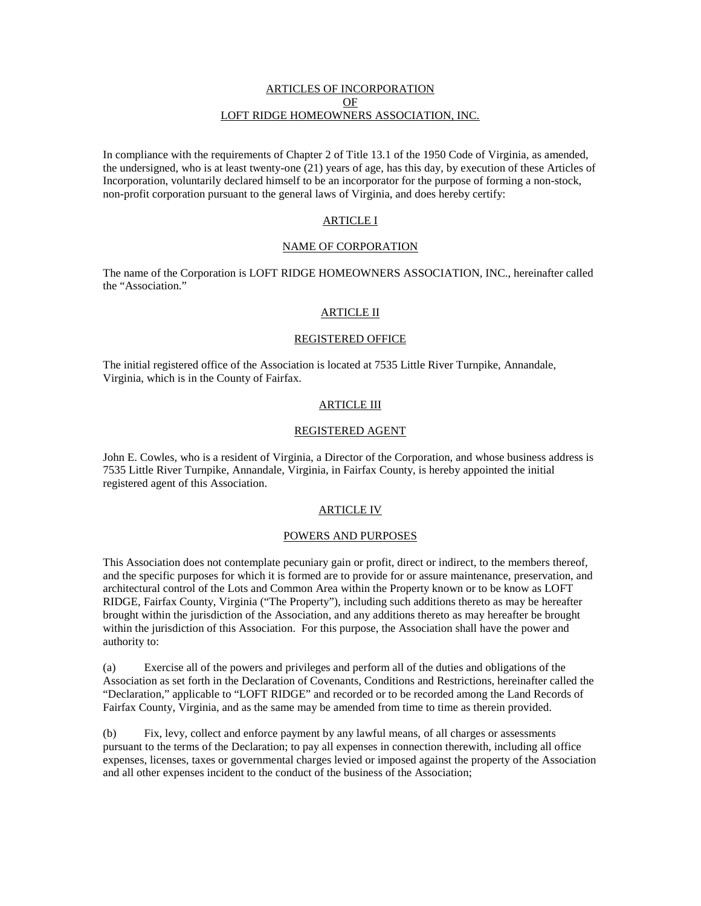# ARTICLES OF INCORPORATION OF LOFT RIDGE HOMEOWNERS ASSOCIATION, INC.

In compliance with the requirements of Chapter 2 of Title 13.1 of the 1950 Code of Virginia, as amended, the undersigned, who is at least twenty-one (21) years of age, has this day, by execution of these Articles of Incorporation, voluntarily declared himself to be an incorporator for the purpose of forming a non-stock, non-profit corporation pursuant to the general laws of Virginia, and does hereby certify:

# ARTICLE I

### NAME OF CORPORATION

The name of the Corporation is LOFT RIDGE HOMEOWNERS ASSOCIATION, INC., hereinafter called the "Association."

### ARTICLE II

### REGISTERED OFFICE

The initial registered office of the Association is located at 7535 Little River Turnpike, Annandale, Virginia, which is in the County of Fairfax.

## ARTICLE III

### REGISTERED AGENT

John E. Cowles, who is a resident of Virginia, a Director of the Corporation, and whose business address is 7535 Little River Turnpike, Annandale, Virginia, in Fairfax County, is hereby appointed the initial registered agent of this Association.

## ARTICLE IV

### POWERS AND PURPOSES

This Association does not contemplate pecuniary gain or profit, direct or indirect, to the members thereof, and the specific purposes for which it is formed are to provide for or assure maintenance, preservation, and architectural control of the Lots and Common Area within the Property known or to be know as LOFT RIDGE, Fairfax County, Virginia ("The Property"), including such additions thereto as may be hereafter brought within the jurisdiction of the Association, and any additions thereto as may hereafter be brought within the jurisdiction of this Association. For this purpose, the Association shall have the power and authority to:

(a) Exercise all of the powers and privileges and perform all of the duties and obligations of the Association as set forth in the Declaration of Covenants, Conditions and Restrictions, hereinafter called the "Declaration," applicable to "LOFT RIDGE" and recorded or to be recorded among the Land Records of Fairfax County, Virginia, and as the same may be amended from time to time as therein provided.

(b) Fix, levy, collect and enforce payment by any lawful means, of all charges or assessments pursuant to the terms of the Declaration; to pay all expenses in connection therewith, including all office expenses, licenses, taxes or governmental charges levied or imposed against the property of the Association and all other expenses incident to the conduct of the business of the Association;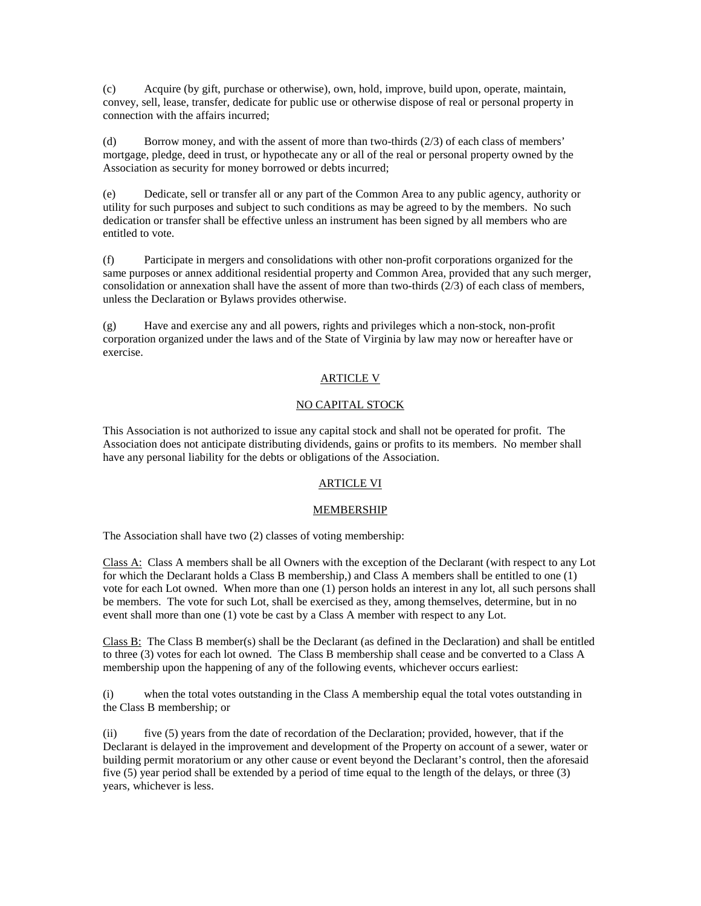(c) Acquire (by gift, purchase or otherwise), own, hold, improve, build upon, operate, maintain, convey, sell, lease, transfer, dedicate for public use or otherwise dispose of real or personal property in connection with the affairs incurred;

(d) Borrow money, and with the assent of more than two-thirds (2/3) of each class of members' mortgage, pledge, deed in trust, or hypothecate any or all of the real or personal property owned by the Association as security for money borrowed or debts incurred;

(e) Dedicate, sell or transfer all or any part of the Common Area to any public agency, authority or utility for such purposes and subject to such conditions as may be agreed to by the members. No such dedication or transfer shall be effective unless an instrument has been signed by all members who are entitled to vote.

(f) Participate in mergers and consolidations with other non-profit corporations organized for the same purposes or annex additional residential property and Common Area, provided that any such merger, consolidation or annexation shall have the assent of more than two-thirds  $(2/3)$  of each class of members, unless the Declaration or Bylaws provides otherwise.

(g) Have and exercise any and all powers, rights and privileges which a non-stock, non-profit corporation organized under the laws and of the State of Virginia by law may now or hereafter have or exercise.

# ARTICLE V

# NO CAPITAL STOCK

This Association is not authorized to issue any capital stock and shall not be operated for profit. The Association does not anticipate distributing dividends, gains or profits to its members. No member shall have any personal liability for the debts or obligations of the Association.

# ARTICLE VI

# MEMBERSHIP

The Association shall have two (2) classes of voting membership:

Class A: Class A members shall be all Owners with the exception of the Declarant (with respect to any Lot for which the Declarant holds a Class B membership,) and Class A members shall be entitled to one (1) vote for each Lot owned. When more than one (1) person holds an interest in any lot, all such persons shall be members. The vote for such Lot, shall be exercised as they, among themselves, determine, but in no event shall more than one (1) vote be cast by a Class A member with respect to any Lot.

Class  $B$ : The Class B member(s) shall be the Declarant (as defined in the Declaration) and shall be entitled to three (3) votes for each lot owned. The Class B membership shall cease and be converted to a Class A membership upon the happening of any of the following events, whichever occurs earliest:

(i) when the total votes outstanding in the Class A membership equal the total votes outstanding in the Class B membership; or

(ii) five (5) years from the date of recordation of the Declaration; provided, however, that if the Declarant is delayed in the improvement and development of the Property on account of a sewer, water or building permit moratorium or any other cause or event beyond the Declarant's control, then the aforesaid five (5) year period shall be extended by a period of time equal to the length of the delays, or three (3) years, whichever is less.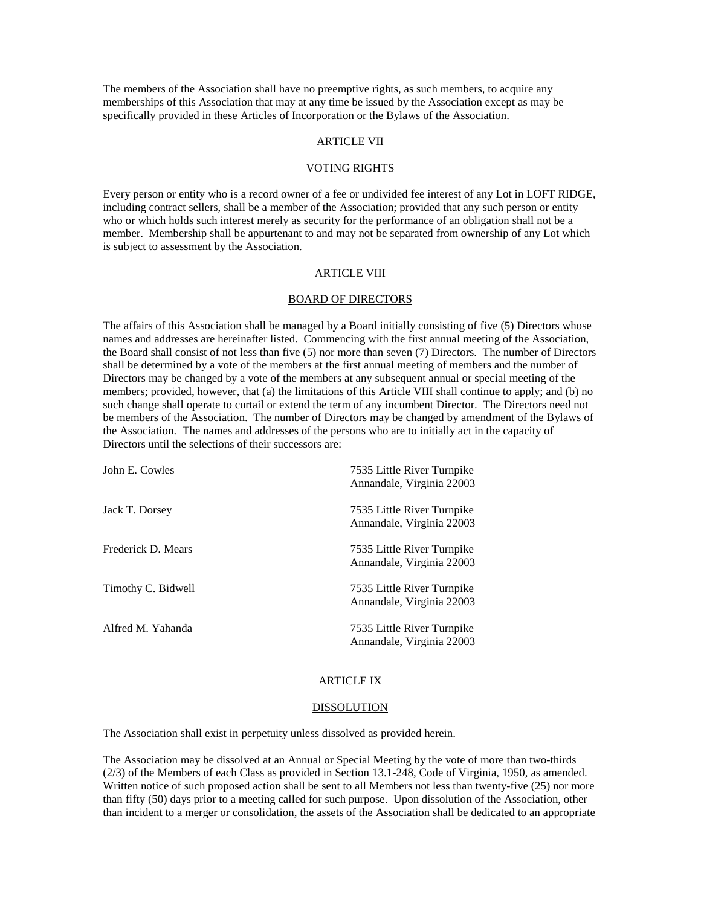The members of the Association shall have no preemptive rights, as such members, to acquire any memberships of this Association that may at any time be issued by the Association except as may be specifically provided in these Articles of Incorporation or the Bylaws of the Association.

# ARTICLE VII

#### VOTING RIGHTS

Every person or entity who is a record owner of a fee or undivided fee interest of any Lot in LOFT RIDGE, including contract sellers, shall be a member of the Association; provided that any such person or entity who or which holds such interest merely as security for the performance of an obligation shall not be a member. Membership shall be appurtenant to and may not be separated from ownership of any Lot which is subject to assessment by the Association.

# ARTICLE VIII

#### BOARD OF DIRECTORS

The affairs of this Association shall be managed by a Board initially consisting of five (5) Directors whose names and addresses are hereinafter listed. Commencing with the first annual meeting of the Association, the Board shall consist of not less than five (5) nor more than seven (7) Directors. The number of Directors shall be determined by a vote of the members at the first annual meeting of members and the number of Directors may be changed by a vote of the members at any subsequent annual or special meeting of the members; provided, however, that (a) the limitations of this Article VIII shall continue to apply; and (b) no such change shall operate to curtail or extend the term of any incumbent Director. The Directors need not be members of the Association. The number of Directors may be changed by amendment of the Bylaws of the Association. The names and addresses of the persons who are to initially act in the capacity of Directors until the selections of their successors are:

| John E. Cowles     | 7535 Little River Turnpike<br>Annandale, Virginia 22003 |
|--------------------|---------------------------------------------------------|
| Jack T. Dorsey     | 7535 Little River Turnpike<br>Annandale, Virginia 22003 |
| Frederick D. Mears | 7535 Little River Turnpike<br>Annandale, Virginia 22003 |
| Timothy C. Bidwell | 7535 Little River Turnpike<br>Annandale, Virginia 22003 |
| Alfred M. Yahanda  | 7535 Little River Turnpike<br>Annandale, Virginia 22003 |

#### ARTICLE IX

#### DISSOLUTION

The Association shall exist in perpetuity unless dissolved as provided herein.

The Association may be dissolved at an Annual or Special Meeting by the vote of more than two-thirds (2/3) of the Members of each Class as provided in Section 13.1-248, Code of Virginia, 1950, as amended. Written notice of such proposed action shall be sent to all Members not less than twenty-five (25) nor more than fifty (50) days prior to a meeting called for such purpose. Upon dissolution of the Association, other than incident to a merger or consolidation, the assets of the Association shall be dedicated to an appropriate